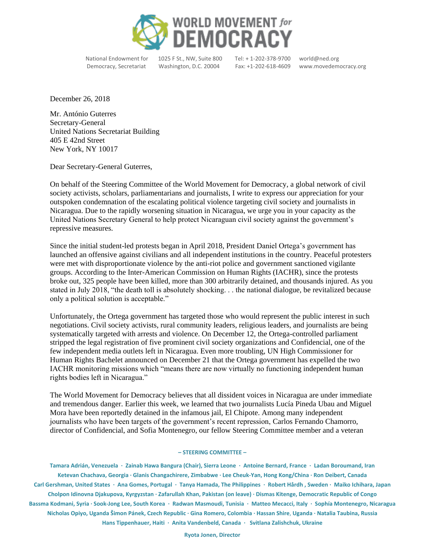

National Endowment for 1025 F St., NW, Suite 800 Tel: + 1-202-378-9700 world@ned.org

Democracy, Secretariat Washington, D.C. 20004 Fax: +1-202-618-4609 www.movedemocracy.org

December 26, 2018

Mr. António Guterres Secretary-General United Nations Secretariat Building 405 E 42nd Street New York, NY 10017

Dear Secretary-General Guterres,

On behalf of the Steering Committee of the World Movement for Democracy, a global network of civil society activists, scholars, parliamentarians and journalists, I write to express our appreciation for your outspoken condemnation of the escalating political violence targeting civil society and journalists in Nicaragua. Due to the rapidly worsening situation in Nicaragua, we urge you in your capacity as the United Nations Secretary General to help protect Nicaraguan civil society against the government's repressive measures.

Since the initial student-led protests began in April 2018, President Daniel Ortega's government has launched an offensive against civilians and all independent institutions in the country. Peaceful protesters were met with disproportionate violence by the anti-riot police and government sanctioned vigilante groups. According to the Inter-American Commission on Human Rights (IACHR), since the protests broke out, 325 people have been killed, more than 300 arbitrarily detained, and thousands injured. As you stated in July 2018, "the death toll is absolutely shocking. . . the national dialogue, be revitalized because only a political solution is acceptable."

Unfortunately, the Ortega government has targeted those who would represent the public interest in such negotiations. Civil society activists, rural community leaders, religious leaders, and journalists are being systematically targeted with arrests and violence. On December 12, the Ortega-controlled parliament stripped the legal registration of five prominent civil society organizations and Confidencial, one of the few independent media outlets left in Nicaragua. Even more troubling, UN High Commissioner for Human Rights Bachelet announced on December 21 that the Ortega government has expelled the two IACHR monitoring missions which "means there are now virtually no functioning independent human rights bodies left in Nicaragua."

The World Movement for Democracy believes that all dissident voices in Nicaragua are under immediate and tremendous danger. Earlier this week, we learned that two journalists Lucía Pineda Ubau and Miguel Mora have been reportedly detained in the infamous jail, El Chipote. Among many independent journalists who have been targets of the government's recent repression, Carlos Fernando Chamorro, director of Confidencial, and Sofia Montenegro, our fellow Steering Committee member and a veteran

## **– STEERING COMMITTEE –**

**Tamara Adrián, Venezuela · Zainab Hawa Bangura (Chair), Sierra Leone · Antoine Bernard, France · Ladan Boroumand, Iran Ketevan Chachava, Georgia · Glanis Changachirere, Zimbabwe · Lee Cheuk-Yan, Hong Kong/China · Ron Deibert, Canada Carl Gershman, United States · Ana Gomes, Portugal · Tanya Hamada, The Philippines · Robert Hårdh , Sweden · Maiko Ichihara, Japan Cholpon Idinovna Djakupova, Kyrgyzstan · Zafarullah Khan, Pakistan (on leave) · Dismas Kitenge, Democratic Republic of Congo Bassma Kodmani, Syria · Sook-Jong Lee, South Korea · Radwan Masmoudi, Tunisia · Matteo Mecacci, Italy · [Sophía Montenegro,](http://www.movedemocracy.org/sophia-montenegro-nicaragua) Nicaragua Nicholas Opiyo, Uganda Šimon Pánek, Czech Republic · Gina Romero, Colombia · Hassan Shire**, **Uganda · Natalia Taubina, Russia Hans Tippenhauer, Haiti · Anita Vandenbeld, Canada · Svitlana Zalishchuk, Ukraine**

**Ryota Jonen, Director**